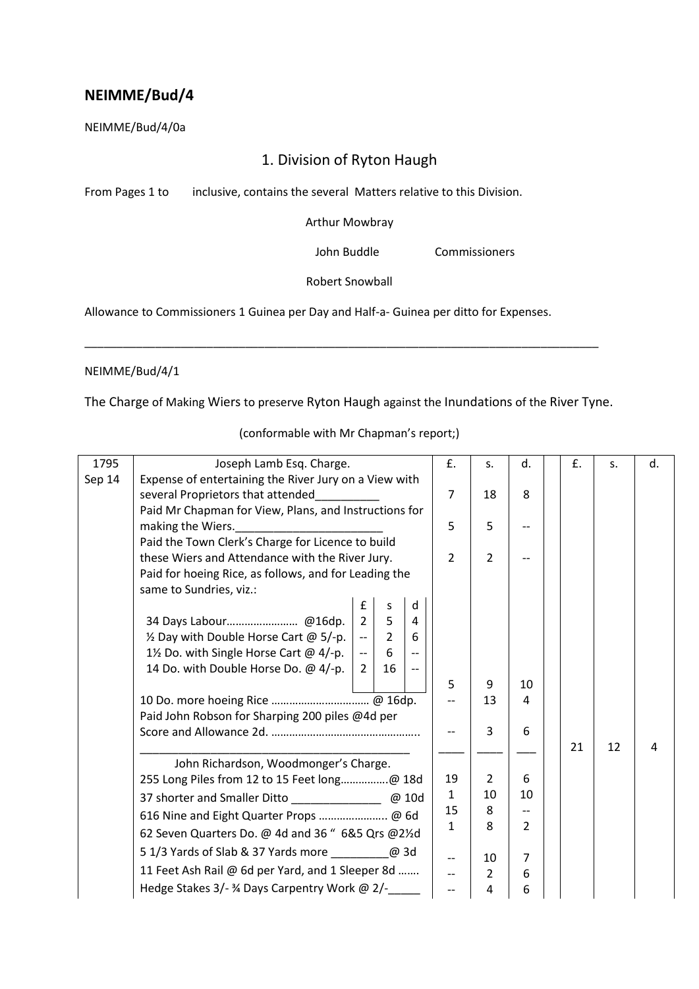NEIMME/Bud/4/0a

# 1. Division of Ryton Haugh

From Pages 1 to inclusive, contains the several Matters relative to this Division.

Arthur Mowbray

John Buddle Commissioners

Robert Snowball

Allowance to Commissioners 1 Guinea per Day and Half-a- Guinea per ditto for Expenses.

# NEIMME/Bud/4/1

The Charge of Making Wiers to preserve Ryton Haugh against the Inundations of the River Tyne.

\_\_\_\_\_\_\_\_\_\_\_\_\_\_\_\_\_\_\_\_\_\_\_\_\_\_\_\_\_\_\_\_\_\_\_\_\_\_\_\_\_\_\_\_\_\_\_\_\_\_\_\_\_\_\_\_\_\_\_\_\_\_\_\_\_\_\_\_\_\_\_\_\_\_\_\_\_\_\_\_

| 1795   | Joseph Lamb Esq. Charge.                              |                                                   |                | £.                       | S.             | d.             | £. | S. | d. |  |
|--------|-------------------------------------------------------|---------------------------------------------------|----------------|--------------------------|----------------|----------------|----|----|----|--|
| Sep 14 | Expense of entertaining the River Jury on a View with |                                                   |                |                          |                |                |    |    |    |  |
|        | several Proprietors that attended                     |                                                   |                | $\overline{7}$           | 18             | 8              |    |    |    |  |
|        | Paid Mr Chapman for View, Plans, and Instructions for |                                                   |                |                          |                |                |    |    |    |  |
|        | making the Wiers.                                     |                                                   |                | 5                        | 5              |                |    |    |    |  |
|        |                                                       | Paid the Town Clerk's Charge for Licence to build |                |                          |                |                |    |    |    |  |
|        | these Wiers and Attendance with the River Jury.       |                                                   |                |                          | $\overline{2}$ | $\overline{2}$ |    |    |    |  |
|        | Paid for hoeing Rice, as follows, and for Leading the |                                                   |                |                          |                |                |    |    |    |  |
|        | same to Sundries, viz.:                               |                                                   |                |                          |                |                |    |    |    |  |
|        |                                                       | £                                                 | s              | d                        |                |                |    |    |    |  |
|        |                                                       | $\overline{2}$                                    | 5              | 4                        |                |                |    |    |    |  |
|        | 1/2 Day with Double Horse Cart @ 5/-p.                | $\overline{\phantom{a}}$                          | $\overline{2}$ | 6                        |                |                |    |    |    |  |
|        | 1½ Do. with Single Horse Cart @ 4/-p.                 | $\overline{\phantom{a}}$                          | 6              | $\overline{a}$           |                |                |    |    |    |  |
|        | 14 Do. with Double Horse Do. @ 4/-p.                  | $\overline{2}$                                    | 16             | $\overline{\phantom{m}}$ |                |                |    |    |    |  |
|        |                                                       |                                                   |                |                          | 5              | 9              | 10 |    |    |  |
|        |                                                       |                                                   |                |                          |                | 13             | 4  |    |    |  |
|        | Paid John Robson for Sharping 200 piles @4d per       |                                                   |                |                          |                |                |    |    |    |  |
|        |                                                       |                                                   |                |                          | $\overline{3}$ | 6              |    |    |    |  |
|        |                                                       |                                                   |                |                          |                |                | 21 | 12 | 4  |  |
|        | John Richardson, Woodmonger's Charge.                 |                                                   |                |                          |                |                |    |    |    |  |
|        | 255 Long Piles from 12 to 15 Feet long@ 18d           |                                                   |                | 19                       | $\overline{2}$ | 6              |    |    |    |  |
|        |                                                       |                                                   |                | $\mathbf{1}$             | 10             | 10             |    |    |    |  |
|        | 616 Nine and Eight Quarter Props @ 6d                 |                                                   |                | 15                       | 8              |                |    |    |    |  |
|        | 62 Seven Quarters Do. @ 4d and 36 " 6&5 Qrs @21/2d    |                                                   |                | $\mathbf{1}$             | 8              | $\overline{2}$ |    |    |    |  |
|        | 5 1/3 Yards of Slab & 37 Yards more ____________@ 3d  |                                                   |                |                          |                |                |    |    |    |  |
|        |                                                       |                                                   |                |                          | 10             | 7              |    |    |    |  |
|        | 11 Feet Ash Rail @ 6d per Yard, and 1 Sleeper 8d      |                                                   |                | $\overline{a}$           | $\overline{2}$ | 6              |    |    |    |  |
|        | Hedge Stakes 3/- 3/4 Days Carpentry Work @ 2/-        |                                                   |                | $\overline{a}$           | 4              | 6              |    |    |    |  |

(conformable with Mr Chapman's report;)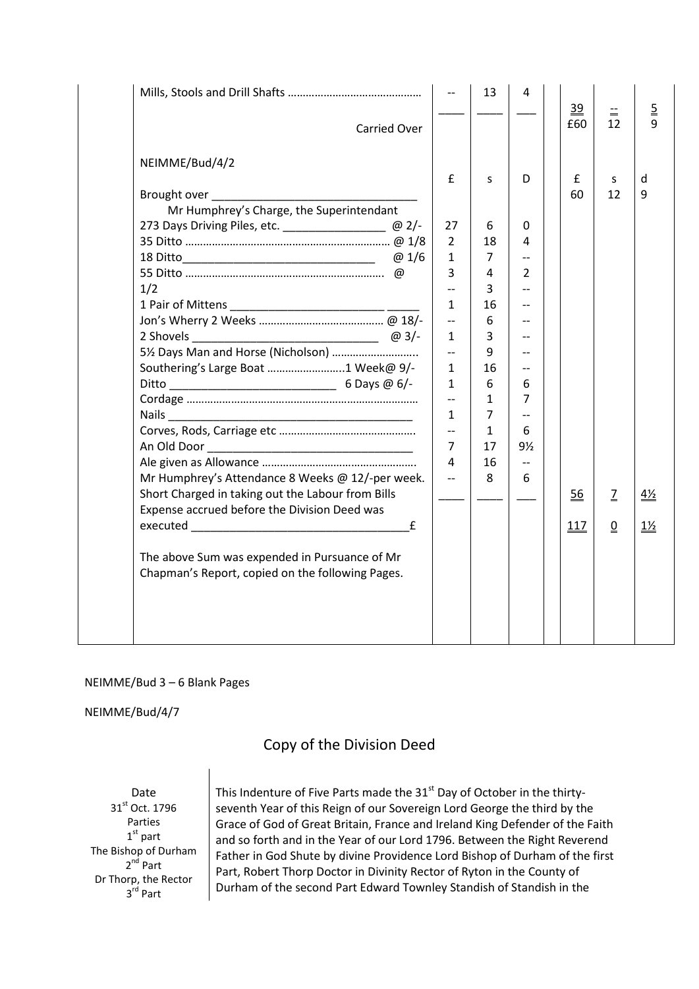|                                                            |                                          | 13             | 4                        | 39  | $\equiv$       | $\overline{2}$ |
|------------------------------------------------------------|------------------------------------------|----------------|--------------------------|-----|----------------|----------------|
| <b>Carried Over</b>                                        |                                          |                |                          | £60 | 12             | 9              |
| NEIMME/Bud/4/2                                             |                                          |                |                          |     |                |                |
|                                                            | £                                        | S              | D                        | £   | s              | d              |
| Brought over                                               |                                          |                |                          | 60  | 12             | 9              |
| Mr Humphrey's Charge, the Superintendant                   |                                          |                |                          |     |                |                |
| 273 Days Driving Piles, etc. _______________________ @ 2/- | 27                                       | 6              | 0                        |     |                |                |
|                                                            | 2                                        | 18             | 4                        |     |                |                |
|                                                            | $\mathbf 1$                              | $\overline{7}$ | $\overline{\phantom{a}}$ |     |                |                |
|                                                            | 3                                        | 4              | 2                        |     |                |                |
| 1/2                                                        | $\overline{\phantom{a}}$                 | 3              | $-$                      |     |                |                |
|                                                            | $\mathbf{1}$                             | 16             | $\overline{a}$           |     |                |                |
|                                                            | $\overline{\phantom{a}}$                 | 6              | $-$                      |     |                |                |
|                                                            | $\mathbf{1}$                             | 3              | $-$                      |     |                |                |
| 5½ Days Man and Horse (Nicholson)                          | $\overline{a}$                           | 9              | $-$                      |     |                |                |
| Southering's Large Boat 1 Week@ 9/-                        | $\mathbf{1}$                             | 16             | $-$                      |     |                |                |
|                                                            | $\mathbf{1}$                             | 6              | 6<br>$\overline{7}$      |     |                |                |
|                                                            | $\overline{\phantom{m}}$<br>$\mathbf{1}$ | 1<br>7         |                          |     |                |                |
|                                                            | $\overline{\phantom{a}}$                 |                | $-$                      |     |                |                |
|                                                            | $\overline{7}$                           | 1<br>17        | 6<br>9½                  |     |                |                |
|                                                            | 4                                        | 16             | $\overline{\phantom{a}}$ |     |                |                |
| Mr Humphrey's Attendance 8 Weeks @ 12/-per week.           | $\overline{\phantom{a}}$                 | 8              | 6                        |     |                |                |
| Short Charged in taking out the Labour from Bills          |                                          |                |                          |     |                |                |
| Expense accrued before the Division Deed was               |                                          |                |                          | 56  | $\mathbf{Z}$   | $4\frac{1}{2}$ |
| £                                                          |                                          |                |                          | 117 | $\overline{0}$ | <u>1%</u>      |
|                                                            |                                          |                |                          |     |                |                |
| The above Sum was expended in Pursuance of Mr              |                                          |                |                          |     |                |                |
| Chapman's Report, copied on the following Pages.           |                                          |                |                          |     |                |                |
|                                                            |                                          |                |                          |     |                |                |
|                                                            |                                          |                |                          |     |                |                |
|                                                            |                                          |                |                          |     |                |                |
|                                                            |                                          |                |                          |     |                |                |
|                                                            |                                          |                |                          |     |                |                |

# NEIMME/Bud 3 – 6 Blank Pages

NEIMME/Bud/4/7

Copy of the Division Deed

Date 31st Oct. 1796 Parties 1st part The Bishop of Durham 2<sup>nd</sup> Part Dr Thorp, the Rector 3<sup>rd</sup> Part

This Indenture of Five Parts made the 31<sup>st</sup> Day of October in the thirtyseventh Year of this Reign of our Sovereign Lord George the third by the Grace of God of Great Britain, France and Ireland King Defender of the Faith and so forth and in the Year of our Lord 1796. Between the Right Reverend Father in God Shute by divine Providence Lord Bishop of Durham of the first Part, Robert Thorp Doctor in Divinity Rector of Ryton in the County of Durham of the second Part Edward Townley Standish of Standish in the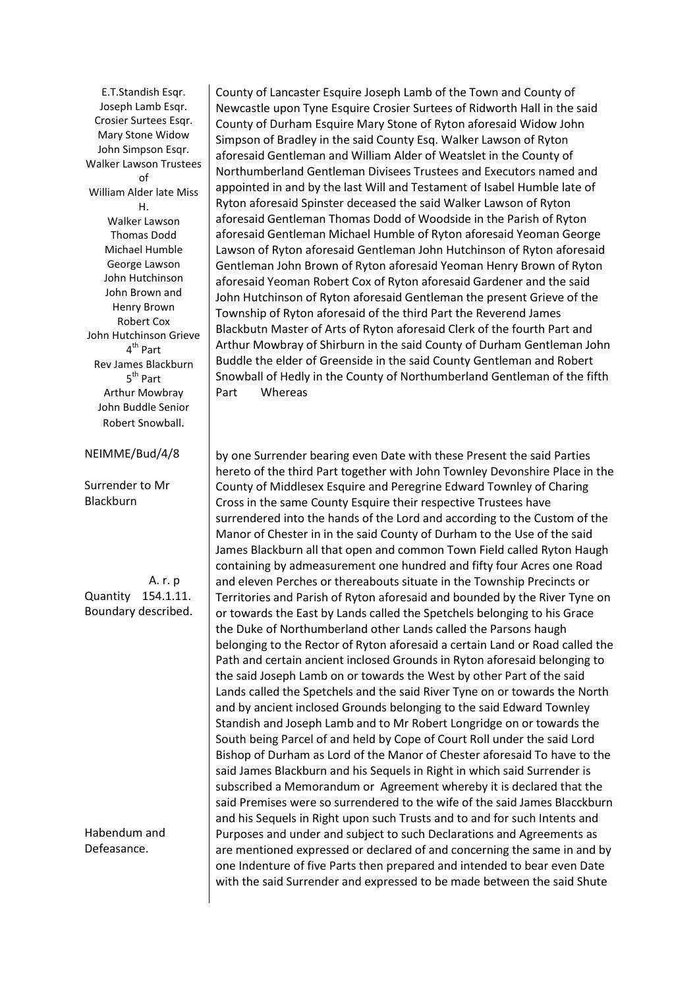E.T.Standish Esqr. Joseph Lamb Esqr. Crosier Surtees Esqr. Mary Stone Widow John Simpson Esqr. Walker Lawson Trustees  $\mathsf{f}$ William Alder late Miss H. Walker Lawson Thomas Dodd Michael Humble George Lawson John Hutchinson John Brown and Henry Brown Robert Cox John Hutchinson Grieve 4<sup>th</sup> Part Rev James Blackburn 5<sup>th</sup> Part Arthur Mowbray John Buddle Senior Robert Snowball.

NEIMME/Bud/4/8

Surrender to Mr Blackburn

 A. r. p Quantity 154.1.11. Boundary described.

Habendum and Defeasance.

County of Lancaster Esquire Joseph Lamb of the Town and County of Newcastle upon Tyne Esquire Crosier Surtees of Ridworth Hall in the said County of Durham Esquire Mary Stone of Ryton aforesaid Widow John Simpson of Bradley in the said County Esq. Walker Lawson of Ryton aforesaid Gentleman and William Alder of Weatslet in the County of Northumberland Gentleman Divisees Trustees and Executors named and appointed in and by the last Will and Testament of Isabel Humble late of Ryton aforesaid Spinster deceased the said Walker Lawson of Ryton aforesaid Gentleman Thomas Dodd of Woodside in the Parish of Ryton aforesaid Gentleman Michael Humble of Ryton aforesaid Yeoman George Lawson of Ryton aforesaid Gentleman John Hutchinson of Ryton aforesaid Gentleman John Brown of Ryton aforesaid Yeoman Henry Brown of Ryton aforesaid Yeoman Robert Cox of Ryton aforesaid Gardener and the said John Hutchinson of Ryton aforesaid Gentleman the present Grieve of the Township of Ryton aforesaid of the third Part the Reverend James Blackbutn Master of Arts of Ryton aforesaid Clerk of the fourth Part and Arthur Mowbray of Shirburn in the said County of Durham Gentleman John Buddle the elder of Greenside in the said County Gentleman and Robert Snowball of Hedly in the County of Northumberland Gentleman of the fifth Part Whereas

by one Surrender bearing even Date with these Present the said Parties hereto of the third Part together with John Townley Devonshire Place in the County of Middlesex Esquire and Peregrine Edward Townley of Charing Cross in the same County Esquire their respective Trustees have surrendered into the hands of the Lord and according to the Custom of the Manor of Chester in in the said County of Durham to the Use of the said James Blackburn all that open and common Town Field called Ryton Haugh containing by admeasurement one hundred and fifty four Acres one Road and eleven Perches or thereabouts situate in the Township Precincts or Territories and Parish of Ryton aforesaid and bounded by the River Tyne on or towards the East by Lands called the Spetchels belonging to his Grace the Duke of Northumberland other Lands called the Parsons haugh belonging to the Rector of Ryton aforesaid a certain Land or Road called the Path and certain ancient inclosed Grounds in Ryton aforesaid belonging to the said Joseph Lamb on or towards the West by other Part of the said Lands called the Spetchels and the said River Tyne on or towards the North and by ancient inclosed Grounds belonging to the said Edward Townley Standish and Joseph Lamb and to Mr Robert Longridge on or towards the South being Parcel of and held by Cope of Court Roll under the said Lord Bishop of Durham as Lord of the Manor of Chester aforesaid To have to the said James Blackburn and his Sequels in Right in which said Surrender is subscribed a Memorandum or Agreement whereby it is declared that the said Premises were so surrendered to the wife of the said James Blacckburn and his Sequels in Right upon such Trusts and to and for such Intents and Purposes and under and subject to such Declarations and Agreements as are mentioned expressed or declared of and concerning the same in and by one Indenture of five Parts then prepared and intended to bear even Date with the said Surrender and expressed to be made between the said Shute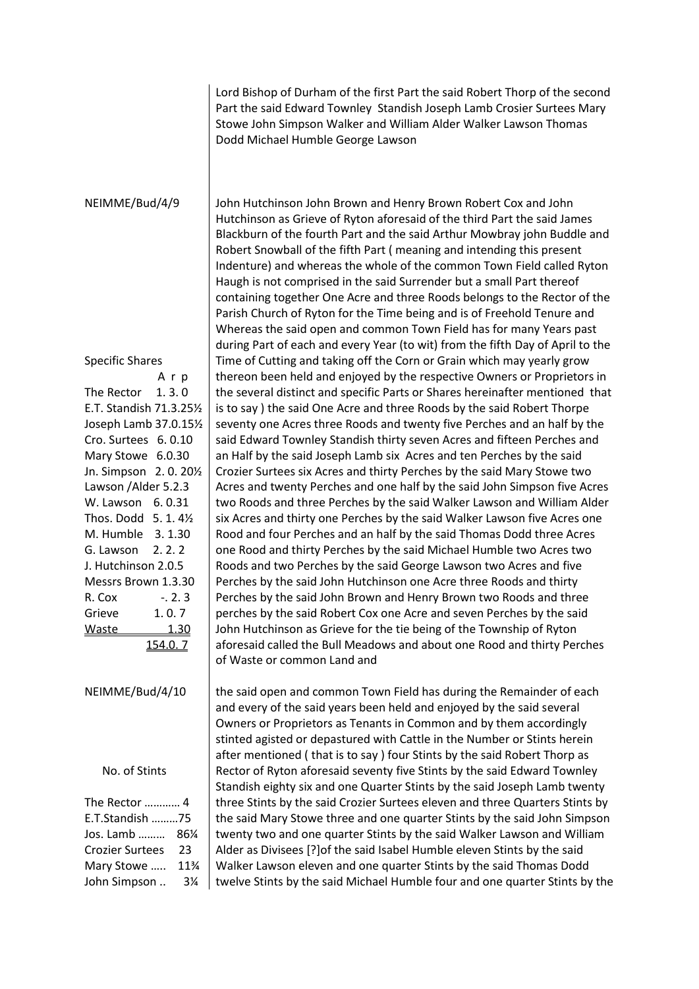Lord Bishop of Durham of the first Part the said Robert Thorp of the second Part the said Edward Townley Standish Joseph Lamb Crosier Surtees Mary Stowe John Simpson Walker and William Alder Walker Lawson Thomas Dodd Michael Humble George Lawson

#### NEIMME/Bud/4/9

Specific Shares A r p The Rector 1.3.0 E.T. Standish 71.3.25½ Joseph Lamb 37.0.15½ Cro. Surtees 6. 0.10 Mary Stowe 6.0.30 Jn. Simpson 2. 0. 20½ Lawson /Alder 5.2.3 W. Lawson 6. 0.31 Thos. Dodd 5. 1. 4½ M. Humble 3. 1.30 G. Lawson 2. 2. 2 J. Hutchinson 2.0.5 Messrs Brown 1.3.30 R. Cox -. 2. 3 Grieve 1. 0. 7 Waste 1.30 154.0. 7

NEIMME/Bud/4/10

No. of Stints

The Rector ………… 4 E.T.Standish ………75 Jos. Lamb ……… 86¼ Crozier Surtees 23 Mary Stowe ….. 11¾ John Simpson .. 3¼ John Hutchinson John Brown and Henry Brown Robert Cox and John Hutchinson as Grieve of Ryton aforesaid of the third Part the said James Blackburn of the fourth Part and the said Arthur Mowbray john Buddle and Robert Snowball of the fifth Part ( meaning and intending this present Indenture) and whereas the whole of the common Town Field called Ryton Haugh is not comprised in the said Surrender but a small Part thereof containing together One Acre and three Roods belongs to the Rector of the Parish Church of Ryton for the Time being and is of Freehold Tenure and Whereas the said open and common Town Field has for many Years past during Part of each and every Year (to wit) from the fifth Day of April to the Time of Cutting and taking off the Corn or Grain which may yearly grow thereon been held and enjoyed by the respective Owners or Proprietors in the several distinct and specific Parts or Shares hereinafter mentioned that is to say ) the said One Acre and three Roods by the said Robert Thorpe seventy one Acres three Roods and twenty five Perches and an half by the said Edward Townley Standish thirty seven Acres and fifteen Perches and an Half by the said Joseph Lamb six Acres and ten Perches by the said Crozier Surtees six Acres and thirty Perches by the said Mary Stowe two Acres and twenty Perches and one half by the said John Simpson five Acres two Roods and three Perches by the said Walker Lawson and William Alder six Acres and thirty one Perches by the said Walker Lawson five Acres one Rood and four Perches and an half by the said Thomas Dodd three Acres one Rood and thirty Perches by the said Michael Humble two Acres two Roods and two Perches by the said George Lawson two Acres and five Perches by the said John Hutchinson one Acre three Roods and thirty Perches by the said John Brown and Henry Brown two Roods and three perches by the said Robert Cox one Acre and seven Perches by the said John Hutchinson as Grieve for the tie being of the Township of Ryton aforesaid called the Bull Meadows and about one Rood and thirty Perches of Waste or common Land and

the said open and common Town Field has during the Remainder of each and every of the said years been held and enjoyed by the said several Owners or Proprietors as Tenants in Common and by them accordingly stinted agisted or depastured with Cattle in the Number or Stints herein after mentioned ( that is to say ) four Stints by the said Robert Thorp as Rector of Ryton aforesaid seventy five Stints by the said Edward Townley Standish eighty six and one Quarter Stints by the said Joseph Lamb twenty three Stints by the said Crozier Surtees eleven and three Quarters Stints by the said Mary Stowe three and one quarter Stints by the said John Simpson twenty two and one quarter Stints by the said Walker Lawson and William Alder as Divisees [?]of the said Isabel Humble eleven Stints by the said Walker Lawson eleven and one quarter Stints by the said Thomas Dodd twelve Stints by the said Michael Humble four and one quarter Stints by the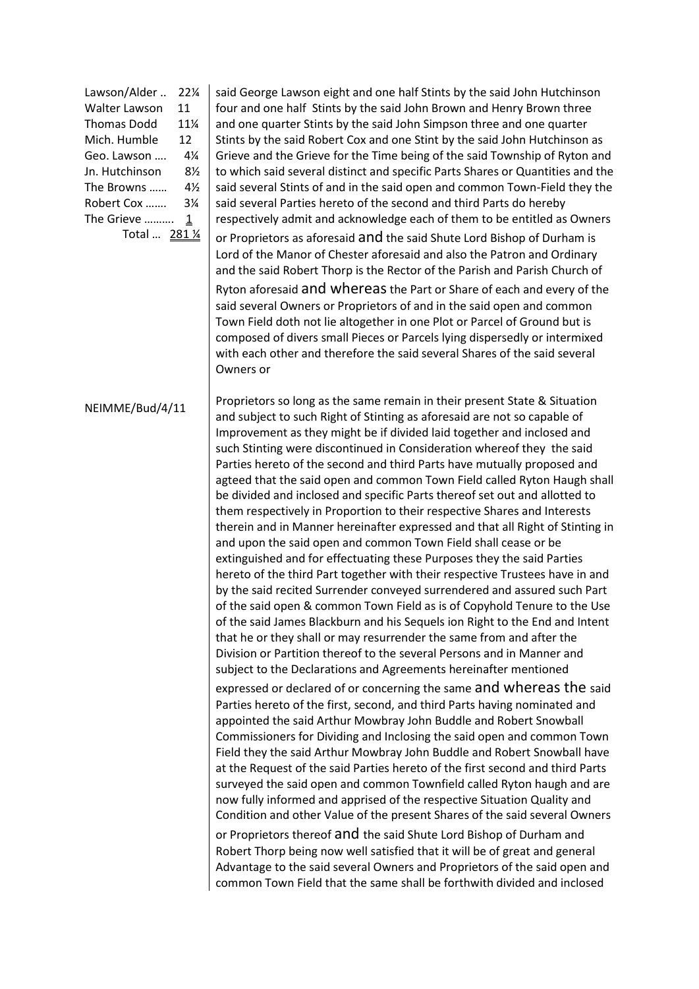| Lawson/Alder         | $22\%$         |
|----------------------|----------------|
| <b>Walter Lawson</b> | 11             |
| <b>Thomas Dodd</b>   | 11¼            |
| Mich. Humble         | 12             |
| Geo. Lawson          | 4¼             |
| Jn. Hutchinson       | 8 <sub>2</sub> |
| The Browns           | 4½             |
| Robert Cox           | 3¼             |
| The Grieve           | 1              |
| Total  281 1/4       |                |

said George Lawson eight and one half Stints by the said John Hutchinson four and one half Stints by the said John Brown and Henry Brown three and one quarter Stints by the said John Simpson three and one quarter Stints by the said Robert Cox and one Stint by the said John Hutchinson as Grieve and the Grieve for the Time being of the said Township of Ryton and to which said several distinct and specific Parts Shares or Quantities and the said several Stints of and in the said open and common Town-Field they the said several Parties hereto of the second and third Parts do hereby respectively admit and acknowledge each of them to be entitled as Owners or Proprietors as aforesaid and the said Shute Lord Bishop of Durham is Lord of the Manor of Chester aforesaid and also the Patron and Ordinary and the said Robert Thorp is the Rector of the Parish and Parish Church of Ryton aforesaid and whereas the Part or Share of each and every of the said several Owners or Proprietors of and in the said open and common Town Field doth not lie altogether in one Plot or Parcel of Ground but is composed of divers small Pieces or Parcels lying dispersedly or intermixed with each other and therefore the said several Shares of the said several Owners or

### NEIMME/Bud/4/11

Proprietors so long as the same remain in their present State & Situation and subject to such Right of Stinting as aforesaid are not so capable of Improvement as they might be if divided laid together and inclosed and such Stinting were discontinued in Consideration whereof they the said Parties hereto of the second and third Parts have mutually proposed and agteed that the said open and common Town Field called Ryton Haugh shall be divided and inclosed and specific Parts thereof set out and allotted to them respectively in Proportion to their respective Shares and Interests therein and in Manner hereinafter expressed and that all Right of Stinting in and upon the said open and common Town Field shall cease or be extinguished and for effectuating these Purposes they the said Parties hereto of the third Part together with their respective Trustees have in and by the said recited Surrender conveyed surrendered and assured such Part of the said open & common Town Field as is of Copyhold Tenure to the Use of the said James Blackburn and his Sequels ion Right to the End and Intent that he or they shall or may resurrender the same from and after the Division or Partition thereof to the several Persons and in Manner and subject to the Declarations and Agreements hereinafter mentioned

expressed or declared of or concerning the same and whereas the said Parties hereto of the first, second, and third Parts having nominated and appointed the said Arthur Mowbray John Buddle and Robert Snowball Commissioners for Dividing and Inclosing the said open and common Town Field they the said Arthur Mowbray John Buddle and Robert Snowball have at the Request of the said Parties hereto of the first second and third Parts surveyed the said open and common Townfield called Ryton haugh and are now fully informed and apprised of the respective Situation Quality and Condition and other Value of the present Shares of the said several Owners or Proprietors thereof and the said Shute Lord Bishop of Durham and Robert Thorp being now well satisfied that it will be of great and general Advantage to the said several Owners and Proprietors of the said open and common Town Field that the same shall be forthwith divided and inclosed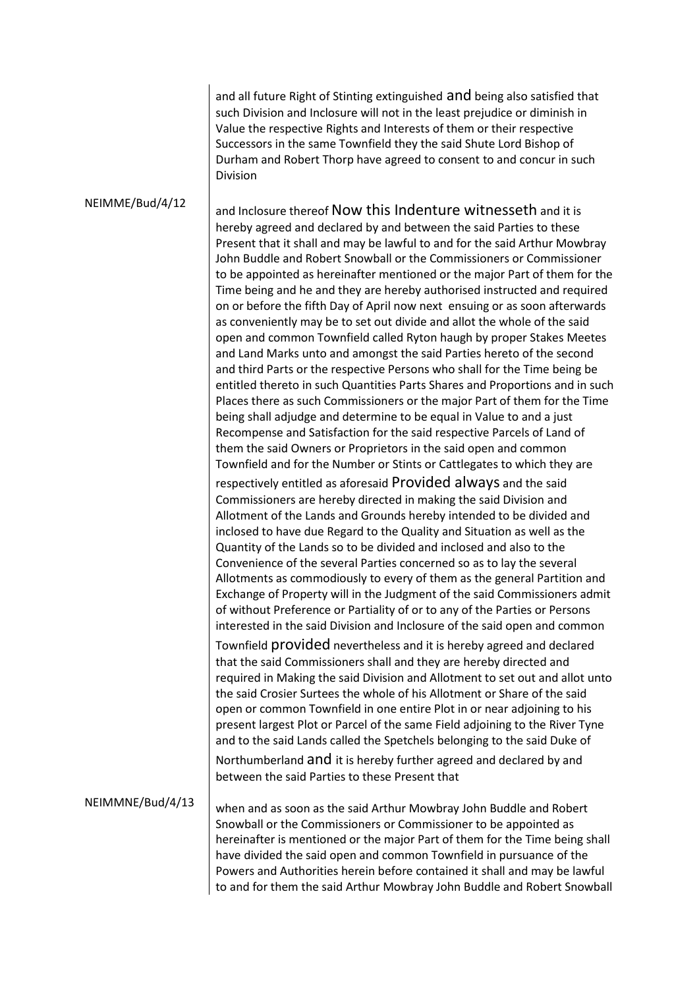and all future Right of Stinting extinguished and being also satisfied that such Division and Inclosure will not in the least prejudice or diminish in Value the respective Rights and Interests of them or their respective Successors in the same Townfield they the said Shute Lord Bishop of Durham and Robert Thorp have agreed to consent to and concur in such Division

#### NEIMME/Bud/4/12

and Inclosure thereof Now this Indenture witnesseth and it is hereby agreed and declared by and between the said Parties to these Present that it shall and may be lawful to and for the said Arthur Mowbray John Buddle and Robert Snowball or the Commissioners or Commissioner to be appointed as hereinafter mentioned or the major Part of them for the Time being and he and they are hereby authorised instructed and required on or before the fifth Day of April now next ensuing or as soon afterwards as conveniently may be to set out divide and allot the whole of the said open and common Townfield called Ryton haugh by proper Stakes Meetes and Land Marks unto and amongst the said Parties hereto of the second and third Parts or the respective Persons who shall for the Time being be entitled thereto in such Quantities Parts Shares and Proportions and in such Places there as such Commissioners or the major Part of them for the Time being shall adjudge and determine to be equal in Value to and a just Recompense and Satisfaction for the said respective Parcels of Land of them the said Owners or Proprietors in the said open and common Townfield and for the Number or Stints or Cattlegates to which they are respectively entitled as aforesaid Provided always and the said Commissioners are hereby directed in making the said Division and Allotment of the Lands and Grounds hereby intended to be divided and inclosed to have due Regard to the Quality and Situation as well as the Quantity of the Lands so to be divided and inclosed and also to the Convenience of the several Parties concerned so as to lay the several Allotments as commodiously to every of them as the general Partition and Exchange of Property will in the Judgment of the said Commissioners admit of without Preference or Partiality of or to any of the Parties or Persons interested in the said Division and Inclosure of the said open and common Townfield provided nevertheless and it is hereby agreed and declared that the said Commissioners shall and they are hereby directed and required in Making the said Division and Allotment to set out and allot unto the said Crosier Surtees the whole of his Allotment or Share of the said open or common Townfield in one entire Plot in or near adjoining to his present largest Plot or Parcel of the same Field adjoining to the River Tyne and to the said Lands called the Spetchels belonging to the said Duke of Northumberland and it is hereby further agreed and declared by and between the said Parties to these Present that

# NEIMMNE/Bud/4/13

when and as soon as the said Arthur Mowbray John Buddle and Robert Snowball or the Commissioners or Commissioner to be appointed as hereinafter is mentioned or the major Part of them for the Time being shall have divided the said open and common Townfield in pursuance of the Powers and Authorities herein before contained it shall and may be lawful to and for them the said Arthur Mowbray John Buddle and Robert Snowball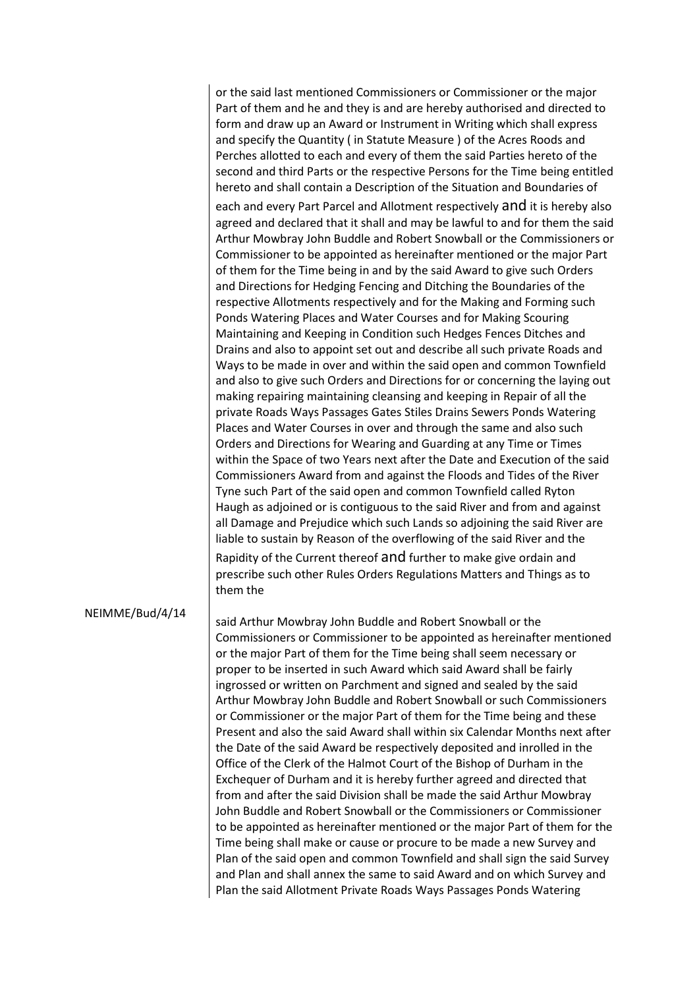or the said last mentioned Commissioners or Commissioner or the major Part of them and he and they is and are hereby authorised and directed to form and draw up an Award or Instrument in Writing which shall express and specify the Quantity ( in Statute Measure ) of the Acres Roods and Perches allotted to each and every of them the said Parties hereto of the second and third Parts or the respective Persons for the Time being entitled hereto and shall contain a Description of the Situation and Boundaries of each and every Part Parcel and Allotment respectively and it is hereby also agreed and declared that it shall and may be lawful to and for them the said Arthur Mowbray John Buddle and Robert Snowball or the Commissioners or Commissioner to be appointed as hereinafter mentioned or the major Part of them for the Time being in and by the said Award to give such Orders and Directions for Hedging Fencing and Ditching the Boundaries of the respective Allotments respectively and for the Making and Forming such Ponds Watering Places and Water Courses and for Making Scouring Maintaining and Keeping in Condition such Hedges Fences Ditches and Drains and also to appoint set out and describe all such private Roads and Ways to be made in over and within the said open and common Townfield and also to give such Orders and Directions for or concerning the laying out making repairing maintaining cleansing and keeping in Repair of all the private Roads Ways Passages Gates Stiles Drains Sewers Ponds Watering Places and Water Courses in over and through the same and also such Orders and Directions for Wearing and Guarding at any Time or Times within the Space of two Years next after the Date and Execution of the said Commissioners Award from and against the Floods and Tides of the River Tyne such Part of the said open and common Townfield called Ryton Haugh as adjoined or is contiguous to the said River and from and against all Damage and Prejudice which such Lands so adjoining the said River are liable to sustain by Reason of the overflowing of the said River and the Rapidity of the Current thereof and further to make give ordain and prescribe such other Rules Orders Regulations Matters and Things as to them the

#### NEIMME/Bud/4/14

said Arthur Mowbray John Buddle and Robert Snowball or the Commissioners or Commissioner to be appointed as hereinafter mentioned or the major Part of them for the Time being shall seem necessary or proper to be inserted in such Award which said Award shall be fairly ingrossed or written on Parchment and signed and sealed by the said Arthur Mowbray John Buddle and Robert Snowball or such Commissioners or Commissioner or the major Part of them for the Time being and these Present and also the said Award shall within six Calendar Months next after the Date of the said Award be respectively deposited and inrolled in the Office of the Clerk of the Halmot Court of the Bishop of Durham in the Exchequer of Durham and it is hereby further agreed and directed that from and after the said Division shall be made the said Arthur Mowbray John Buddle and Robert Snowball or the Commissioners or Commissioner to be appointed as hereinafter mentioned or the major Part of them for the Time being shall make or cause or procure to be made a new Survey and Plan of the said open and common Townfield and shall sign the said Survey and Plan and shall annex the same to said Award and on which Survey and Plan the said Allotment Private Roads Ways Passages Ponds Watering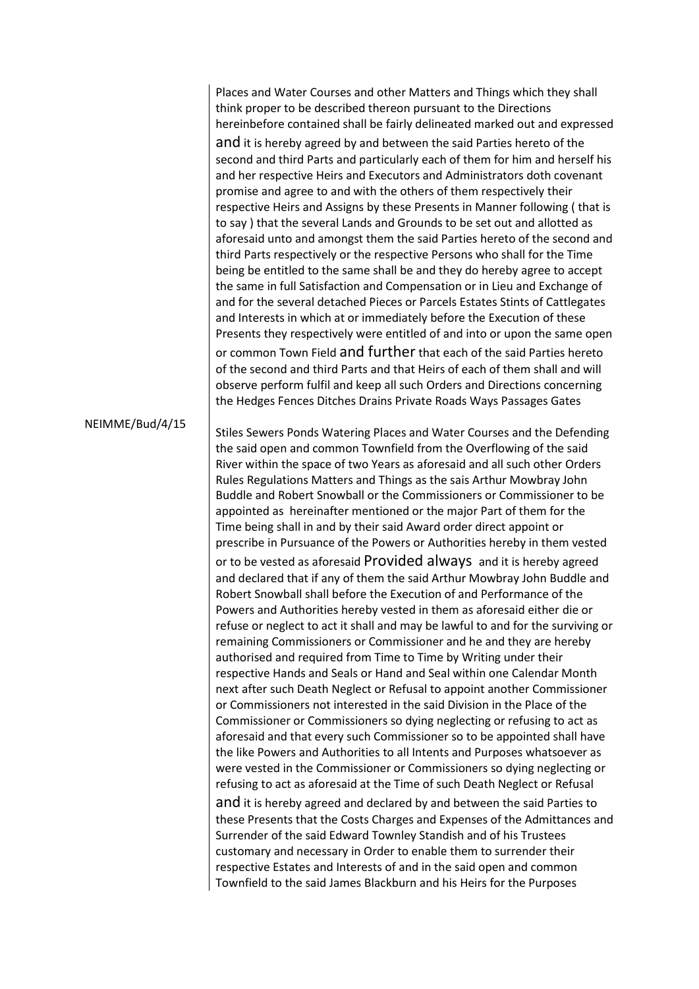Places and Water Courses and other Matters and Things which they shall think proper to be described thereon pursuant to the Directions hereinbefore contained shall be fairly delineated marked out and expressed and it is hereby agreed by and between the said Parties hereto of the second and third Parts and particularly each of them for him and herself his and her respective Heirs and Executors and Administrators doth covenant promise and agree to and with the others of them respectively their respective Heirs and Assigns by these Presents in Manner following ( that is to say ) that the several Lands and Grounds to be set out and allotted as aforesaid unto and amongst them the said Parties hereto of the second and third Parts respectively or the respective Persons who shall for the Time being be entitled to the same shall be and they do hereby agree to accept the same in full Satisfaction and Compensation or in Lieu and Exchange of and for the several detached Pieces or Parcels Estates Stints of Cattlegates and Interests in which at or immediately before the Execution of these Presents they respectively were entitled of and into or upon the same open or common Town Field and further that each of the said Parties hereto of the second and third Parts and that Heirs of each of them shall and will observe perform fulfil and keep all such Orders and Directions concerning the Hedges Fences Ditches Drains Private Roads Ways Passages Gates

#### NEIMME/Bud/4/15

Stiles Sewers Ponds Watering Places and Water Courses and the Defending the said open and common Townfield from the Overflowing of the said River within the space of two Years as aforesaid and all such other Orders Rules Regulations Matters and Things as the sais Arthur Mowbray John Buddle and Robert Snowball or the Commissioners or Commissioner to be appointed as hereinafter mentioned or the major Part of them for the Time being shall in and by their said Award order direct appoint or prescribe in Pursuance of the Powers or Authorities hereby in them vested or to be vested as aforesaid Provided always and it is hereby agreed and declared that if any of them the said Arthur Mowbray John Buddle and Robert Snowball shall before the Execution of and Performance of the Powers and Authorities hereby vested in them as aforesaid either die or refuse or neglect to act it shall and may be lawful to and for the surviving or remaining Commissioners or Commissioner and he and they are hereby authorised and required from Time to Time by Writing under their respective Hands and Seals or Hand and Seal within one Calendar Month next after such Death Neglect or Refusal to appoint another Commissioner or Commissioners not interested in the said Division in the Place of the Commissioner or Commissioners so dying neglecting or refusing to act as aforesaid and that every such Commissioner so to be appointed shall have the like Powers and Authorities to all Intents and Purposes whatsoever as were vested in the Commissioner or Commissioners so dying neglecting or refusing to act as aforesaid at the Time of such Death Neglect or Refusal and it is hereby agreed and declared by and between the said Parties to these Presents that the Costs Charges and Expenses of the Admittances and Surrender of the said Edward Townley Standish and of his Trustees customary and necessary in Order to enable them to surrender their respective Estates and Interests of and in the said open and common Townfield to the said James Blackburn and his Heirs for the Purposes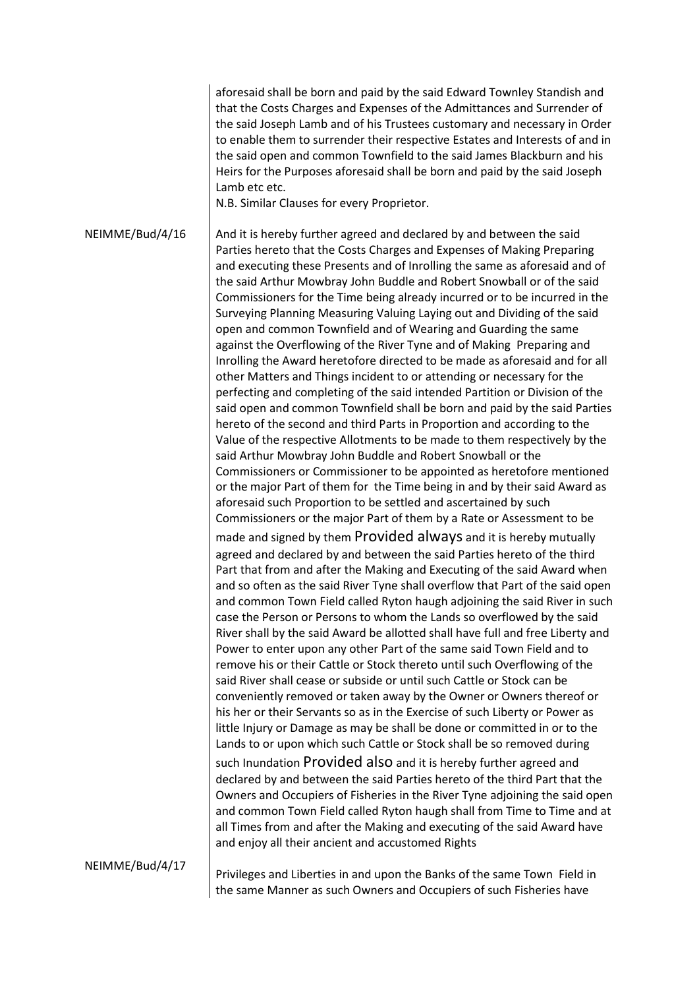aforesaid shall be born and paid by the said Edward Townley Standish and that the Costs Charges and Expenses of the Admittances and Surrender of the said Joseph Lamb and of his Trustees customary and necessary in Order to enable them to surrender their respective Estates and Interests of and in the said open and common Townfield to the said James Blackburn and his Heirs for the Purposes aforesaid shall be born and paid by the said Joseph Lamb etc etc.

N.B. Similar Clauses for every Proprietor.

NEIMME/Bud/4/16 And it is hereby further agreed and declared by and between the said Parties hereto that the Costs Charges and Expenses of Making Preparing and executing these Presents and of Inrolling the same as aforesaid and of the said Arthur Mowbray John Buddle and Robert Snowball or of the said Commissioners for the Time being already incurred or to be incurred in the Surveying Planning Measuring Valuing Laying out and Dividing of the said open and common Townfield and of Wearing and Guarding the same against the Overflowing of the River Tyne and of Making Preparing and Inrolling the Award heretofore directed to be made as aforesaid and for all other Matters and Things incident to or attending or necessary for the perfecting and completing of the said intended Partition or Division of the said open and common Townfield shall be born and paid by the said Parties hereto of the second and third Parts in Proportion and according to the Value of the respective Allotments to be made to them respectively by the said Arthur Mowbray John Buddle and Robert Snowball or the Commissioners or Commissioner to be appointed as heretofore mentioned or the major Part of them for the Time being in and by their said Award as aforesaid such Proportion to be settled and ascertained by such Commissioners or the major Part of them by a Rate or Assessment to be made and signed by them Provided always and it is hereby mutually agreed and declared by and between the said Parties hereto of the third Part that from and after the Making and Executing of the said Award when and so often as the said River Tyne shall overflow that Part of the said open and common Town Field called Ryton haugh adjoining the said River in such case the Person or Persons to whom the Lands so overflowed by the said River shall by the said Award be allotted shall have full and free Liberty and Power to enter upon any other Part of the same said Town Field and to remove his or their Cattle or Stock thereto until such Overflowing of the said River shall cease or subside or until such Cattle or Stock can be conveniently removed or taken away by the Owner or Owners thereof or his her or their Servants so as in the Exercise of such Liberty or Power as little Injury or Damage as may be shall be done or committed in or to the Lands to or upon which such Cattle or Stock shall be so removed during such Inundation Provided also and it is hereby further agreed and declared by and between the said Parties hereto of the third Part that the Owners and Occupiers of Fisheries in the River Tyne adjoining the said open and common Town Field called Ryton haugh shall from Time to Time and at all Times from and after the Making and executing of the said Award have and enjoy all their ancient and accustomed Rights

NEIMME/Bud/4/17

Privileges and Liberties in and upon the Banks of the same Town Field in the same Manner as such Owners and Occupiers of such Fisheries have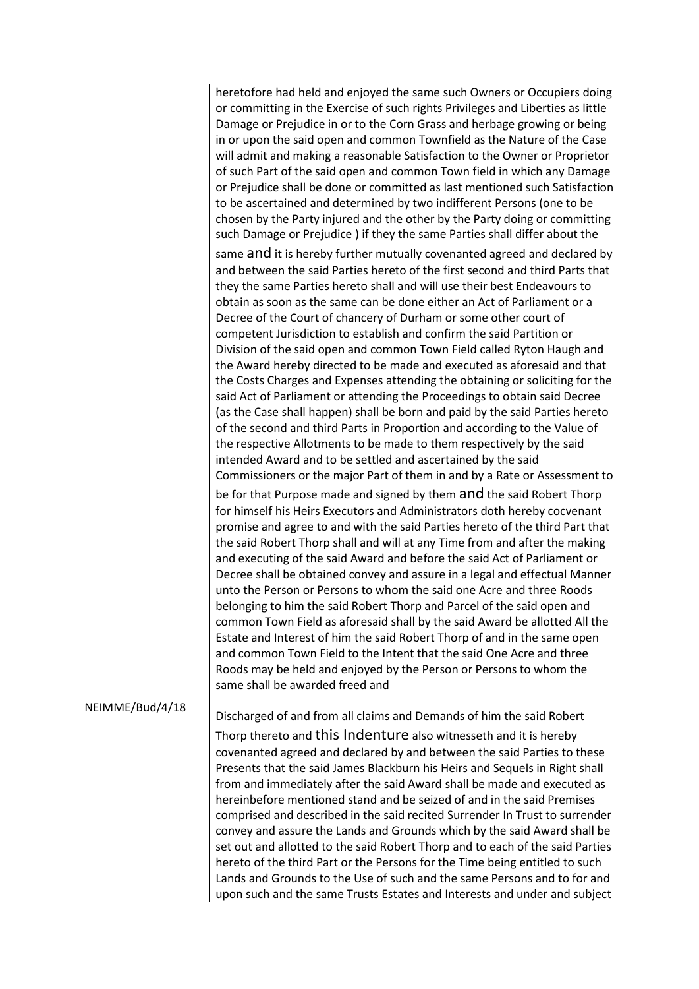heretofore had held and enjoyed the same such Owners or Occupiers doing or committing in the Exercise of such rights Privileges and Liberties as little Damage or Prejudice in or to the Corn Grass and herbage growing or being in or upon the said open and common Townfield as the Nature of the Case will admit and making a reasonable Satisfaction to the Owner or Proprietor of such Part of the said open and common Town field in which any Damage or Prejudice shall be done or committed as last mentioned such Satisfaction to be ascertained and determined by two indifferent Persons (one to be chosen by the Party injured and the other by the Party doing or committing such Damage or Prejudice ) if they the same Parties shall differ about the

same and it is hereby further mutually covenanted agreed and declared by and between the said Parties hereto of the first second and third Parts that they the same Parties hereto shall and will use their best Endeavours to obtain as soon as the same can be done either an Act of Parliament or a Decree of the Court of chancery of Durham or some other court of competent Jurisdiction to establish and confirm the said Partition or Division of the said open and common Town Field called Ryton Haugh and the Award hereby directed to be made and executed as aforesaid and that the Costs Charges and Expenses attending the obtaining or soliciting for the said Act of Parliament or attending the Proceedings to obtain said Decree (as the Case shall happen) shall be born and paid by the said Parties hereto of the second and third Parts in Proportion and according to the Value of the respective Allotments to be made to them respectively by the said intended Award and to be settled and ascertained by the said Commissioners or the major Part of them in and by a Rate or Assessment to

be for that Purpose made and signed by them and the said Robert Thorp for himself his Heirs Executors and Administrators doth hereby cocvenant promise and agree to and with the said Parties hereto of the third Part that the said Robert Thorp shall and will at any Time from and after the making and executing of the said Award and before the said Act of Parliament or Decree shall be obtained convey and assure in a legal and effectual Manner unto the Person or Persons to whom the said one Acre and three Roods belonging to him the said Robert Thorp and Parcel of the said open and common Town Field as aforesaid shall by the said Award be allotted All the Estate and Interest of him the said Robert Thorp of and in the same open and common Town Field to the Intent that the said One Acre and three Roods may be held and enjoyed by the Person or Persons to whom the same shall be awarded freed and

### NEIMME/Bud/4/18

Discharged of and from all claims and Demands of him the said Robert Thorp thereto and this Indenture also witnesseth and it is hereby covenanted agreed and declared by and between the said Parties to these Presents that the said James Blackburn his Heirs and Sequels in Right shall from and immediately after the said Award shall be made and executed as hereinbefore mentioned stand and be seized of and in the said Premises comprised and described in the said recited Surrender In Trust to surrender convey and assure the Lands and Grounds which by the said Award shall be set out and allotted to the said Robert Thorp and to each of the said Parties hereto of the third Part or the Persons for the Time being entitled to such Lands and Grounds to the Use of such and the same Persons and to for and upon such and the same Trusts Estates and Interests and under and subject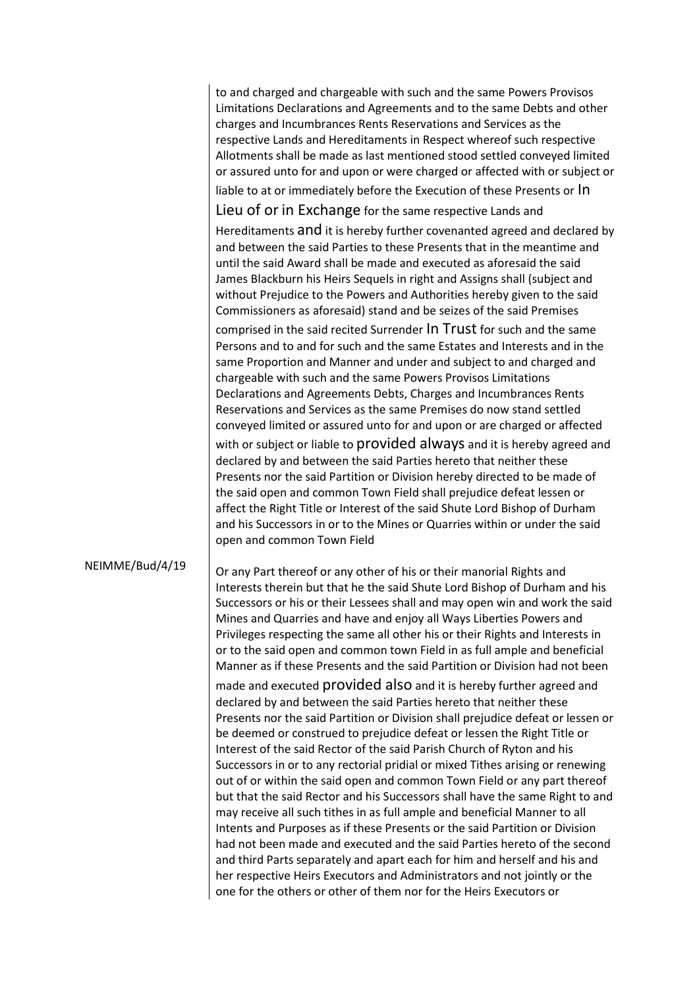|                 | to and charged and chargeable with such and the same Powers Provisos<br>Limitations Declarations and Agreements and to the same Debts and other<br>charges and Incumbrances Rents Reservations and Services as the<br>respective Lands and Hereditaments in Respect whereof such respective<br>Allotments shall be made as last mentioned stood settled conveyed limited<br>or assured unto for and upon or were charged or affected with or subject or<br>liable to at or immediately before the Execution of these Presents or In<br>Lieu of or in Exchange for the same respective Lands and                                |
|-----------------|--------------------------------------------------------------------------------------------------------------------------------------------------------------------------------------------------------------------------------------------------------------------------------------------------------------------------------------------------------------------------------------------------------------------------------------------------------------------------------------------------------------------------------------------------------------------------------------------------------------------------------|
|                 | Hereditaments and it is hereby further covenanted agreed and declared by<br>and between the said Parties to these Presents that in the meantime and<br>until the said Award shall be made and executed as aforesaid the said<br>James Blackburn his Heirs Sequels in right and Assigns shall (subject and<br>without Prejudice to the Powers and Authorities hereby given to the said<br>Commissioners as aforesaid) stand and be seizes of the said Premises<br>comprised in the said recited Surrender In Trust for such and the same                                                                                        |
|                 | Persons and to and for such and the same Estates and Interests and in the<br>same Proportion and Manner and under and subject to and charged and<br>chargeable with such and the same Powers Provisos Limitations<br>Declarations and Agreements Debts, Charges and Incumbrances Rents<br>Reservations and Services as the same Premises do now stand settled<br>conveyed limited or assured unto for and upon or are charged or affected                                                                                                                                                                                      |
|                 | with or subject or liable to provided always and it is hereby agreed and<br>declared by and between the said Parties hereto that neither these<br>Presents nor the said Partition or Division hereby directed to be made of<br>the said open and common Town Field shall prejudice defeat lessen or<br>affect the Right Title or Interest of the said Shute Lord Bishop of Durham<br>and his Successors in or to the Mines or Quarries within or under the said<br>open and common Town Field                                                                                                                                  |
| NEIMME/Bud/4/19 | Or any Part thereof or any other of his or their manorial Rights and<br>Interests therein but that he the said Shute Lord Bishop of Durham and his<br>Successors or his or their Lessees shall and may open win and work the said<br>Mines and Quarries and have and enjoy all Ways Liberties Powers and<br>Privileges respecting the same all other his or their Rights and Interests in<br>or to the said open and common town Field in as full ample and beneficial<br>Manner as if these Presents and the said Partition or Division had not been                                                                          |
|                 | made and executed provided also and it is hereby further agreed and<br>declared by and between the said Parties hereto that neither these<br>Presents nor the said Partition or Division shall prejudice defeat or lessen or<br>be deemed or construed to prejudice defeat or lessen the Right Title or<br>Interest of the said Rector of the said Parish Church of Ryton and his<br>Successors in or to any rectorial pridial or mixed Tithes arising or renewing<br>out of or within the said open and common Town Field or any part thereof<br>but that the said Rector and his Successors shall have the same Right to and |
|                 | may receive all such tithes in as full ample and beneficial Manner to all<br>Intents and Purposes as if these Presents or the said Partition or Division<br>had not been made and executed and the said Parties hereto of the second<br>and third Parts separately and apart each for him and herself and his and<br>her respective Heirs Executors and Administrators and not jointly or the<br>one for the others or other of them nor for the Heirs Executors or                                                                                                                                                            |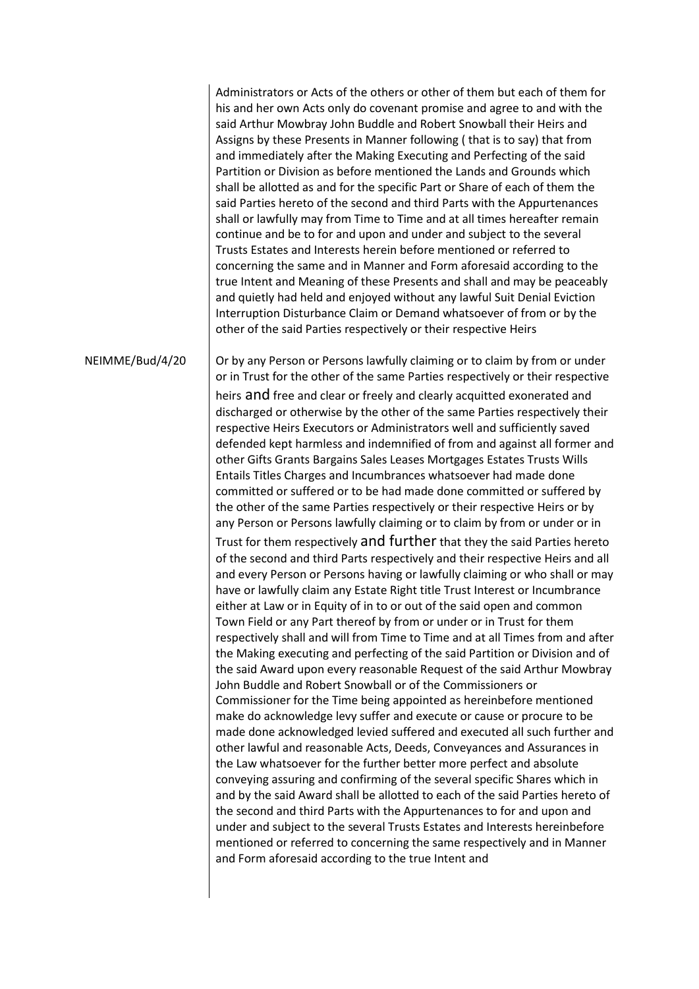Administrators or Acts of the others or other of them but each of them for his and her own Acts only do covenant promise and agree to and with the said Arthur Mowbray John Buddle and Robert Snowball their Heirs and Assigns by these Presents in Manner following ( that is to say) that from and immediately after the Making Executing and Perfecting of the said Partition or Division as before mentioned the Lands and Grounds which shall be allotted as and for the specific Part or Share of each of them the said Parties hereto of the second and third Parts with the Appurtenances shall or lawfully may from Time to Time and at all times hereafter remain continue and be to for and upon and under and subject to the several Trusts Estates and Interests herein before mentioned or referred to concerning the same and in Manner and Form aforesaid according to the true Intent and Meaning of these Presents and shall and may be peaceably and quietly had held and enjoyed without any lawful Suit Denial Eviction Interruption Disturbance Claim or Demand whatsoever of from or by the other of the said Parties respectively or their respective Heirs

NEIMME/Bud/4/20

Or by any Person or Persons lawfully claiming or to claim by from or under or in Trust for the other of the same Parties respectively or their respective heirs and free and clear or freely and clearly acquitted exonerated and discharged or otherwise by the other of the same Parties respectively their respective Heirs Executors or Administrators well and sufficiently saved defended kept harmless and indemnified of from and against all former and other Gifts Grants Bargains Sales Leases Mortgages Estates Trusts Wills Entails Titles Charges and Incumbrances whatsoever had made done committed or suffered or to be had made done committed or suffered by the other of the same Parties respectively or their respective Heirs or by any Person or Persons lawfully claiming or to claim by from or under or in Trust for them respectively and further that they the said Parties hereto of the second and third Parts respectively and their respective Heirs and all and every Person or Persons having or lawfully claiming or who shall or may have or lawfully claim any Estate Right title Trust Interest or Incumbrance either at Law or in Equity of in to or out of the said open and common Town Field or any Part thereof by from or under or in Trust for them respectively shall and will from Time to Time and at all Times from and after the Making executing and perfecting of the said Partition or Division and of the said Award upon every reasonable Request of the said Arthur Mowbray John Buddle and Robert Snowball or of the Commissioners or Commissioner for the Time being appointed as hereinbefore mentioned make do acknowledge levy suffer and execute or cause or procure to be made done acknowledged levied suffered and executed all such further and other lawful and reasonable Acts, Deeds, Conveyances and Assurances in the Law whatsoever for the further better more perfect and absolute conveying assuring and confirming of the several specific Shares which in and by the said Award shall be allotted to each of the said Parties hereto of the second and third Parts with the Appurtenances to for and upon and under and subject to the several Trusts Estates and Interests hereinbefore mentioned or referred to concerning the same respectively and in Manner and Form aforesaid according to the true Intent and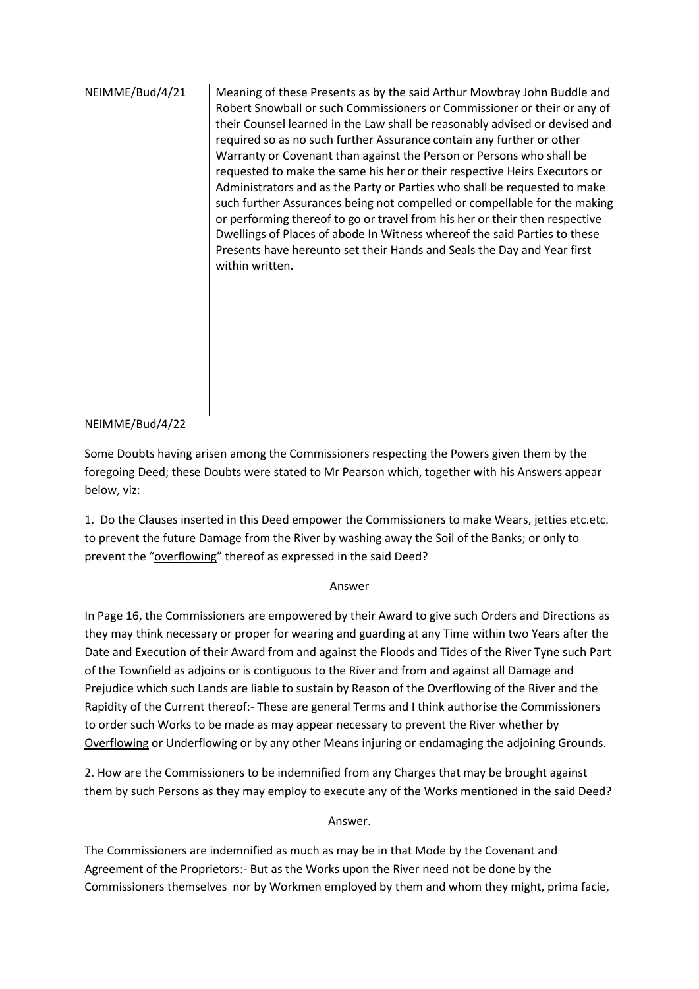NEIMME/Bud/4/21 Meaning of these Presents as by the said Arthur Mowbray John Buddle and Robert Snowball or such Commissioners or Commissioner or their or any of their Counsel learned in the Law shall be reasonably advised or devised and required so as no such further Assurance contain any further or other Warranty or Covenant than against the Person or Persons who shall be requested to make the same his her or their respective Heirs Executors or Administrators and as the Party or Parties who shall be requested to make such further Assurances being not compelled or compellable for the making or performing thereof to go or travel from his her or their then respective Dwellings of Places of abode In Witness whereof the said Parties to these Presents have hereunto set their Hands and Seals the Day and Year first within written.

# NEIMME/Bud/4/22

Some Doubts having arisen among the Commissioners respecting the Powers given them by the foregoing Deed; these Doubts were stated to Mr Pearson which, together with his Answers appear below, viz:

1. Do the Clauses inserted in this Deed empower the Commissioners to make Wears, jetties etc.etc. to prevent the future Damage from the River by washing away the Soil of the Banks; or only to prevent the "overflowing" thereof as expressed in the said Deed?

# Answer

In Page 16, the Commissioners are empowered by their Award to give such Orders and Directions as they may think necessary or proper for wearing and guarding at any Time within two Years after the Date and Execution of their Award from and against the Floods and Tides of the River Tyne such Part of the Townfield as adjoins or is contiguous to the River and from and against all Damage and Prejudice which such Lands are liable to sustain by Reason of the Overflowing of the River and the Rapidity of the Current thereof:- These are general Terms and I think authorise the Commissioners to order such Works to be made as may appear necessary to prevent the River whether by Overflowing or Underflowing or by any other Means injuring or endamaging the adjoining Grounds.

2. How are the Commissioners to be indemnified from any Charges that may be brought against them by such Persons as they may employ to execute any of the Works mentioned in the said Deed?

#### Answer.

The Commissioners are indemnified as much as may be in that Mode by the Covenant and Agreement of the Proprietors:- But as the Works upon the River need not be done by the Commissioners themselves nor by Workmen employed by them and whom they might, prima facie,